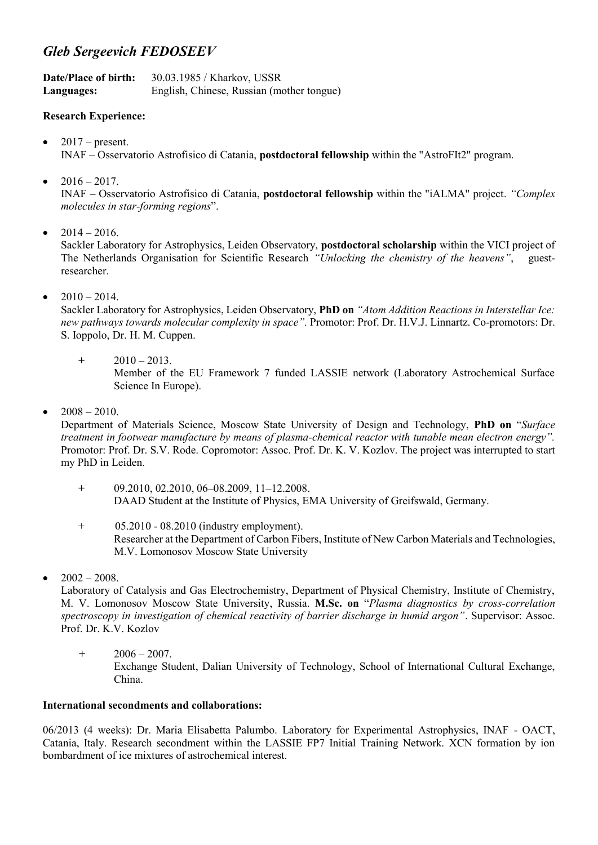# *Gleb Sergeevich FEDOSEEV*

| Date/Place of birth: | 30.03.1985 / Kharkov, USSR                |
|----------------------|-------------------------------------------|
| Languages:           | English, Chinese, Russian (mother tongue) |

# **Research Experience:**

- $\bullet$  2017 present. INAF – Osservatorio Astrofisico di Catania, **postdoctoral fellowship** within the "AstroFIt2" program.
- $2016 2017$ .

INAF – Osservatorio Astrofisico di Catania, **postdoctoral fellowship** within the "iALMA" project. *"Complex molecules in star-forming regions*".

•  $2014 - 2016$ .

Sackler Laboratory for Astrophysics, Leiden Observatory, **postdoctoral scholarship** within the VICI project of The Netherlands Organisation for Scientific Research *"Unlocking the chemistry of the heavens"*, guestresearcher.

•  $2010 - 2014$ .

Sackler Laboratory for Astrophysics, Leiden Observatory, **PhD on** *"Atom Addition Reactions in Interstellar Ice: new pathways towards molecular complexity in space".* Promotor: Prof. Dr. H.V.J. Linnartz. Co-promotors: Dr. S. Ioppolo, Dr. H. M. Cuppen.

**+** 2010 – 2013.

Member of the EU Framework 7 funded LASSIE network (Laboratory Astrochemical Surface Science In Europe).

 $\bullet$  2008 – 2010.

Department of Materials Science, Moscow State University of Design and Technology, **PhD on** "*Surface treatment in footwear manufacture by means of plasma-chemical reactor with tunable mean electron energy".* Promotor: Prof. Dr. S.V. Rode. Copromotor: Assoc. Prof. Dr. K. V. Kozlov. The project was interrupted to start my PhD in Leiden.

- **+** 09.2010, 02.2010, 06–08.2009, 11–12.2008. DAAD Student at the Institute of Physics, EMA University of Greifswald, Germany.
- + 05.2010 08.2010 (industry employment). Researcher at the Department of Carbon Fibers, Institute of New Carbon Materials and Technologies, M.V. Lomonosov Moscow State University
- $2002 2008$ .

Laboratory of Catalysis and Gas Electrochemistry, Department of Physical Chemistry, Institute of Chemistry, M. V. Lomonosov Moscow State University, Russia. **M.Sc. on** "*Plasma diagnostics by cross-correlation spectroscopy in investigation of chemical reactivity of barrier discharge in humid argon"*. Supervisor: Assoc. Prof. Dr. K.V. Kozlov

**+** 2006 – 2007. Exchange Student, Dalian University of Technology, School of International Cultural Exchange, China.

## **International secondments and collaborations:**

06/2013 (4 weeks): Dr. Maria Elisabetta Palumbo. Laboratory for Experimental Astrophysics, INAF - OACT, Catania, Italy. Research secondment within the LASSIE FP7 Initial Training Network. XCN formation by ion bombardment of ice mixtures of astrochemical interest.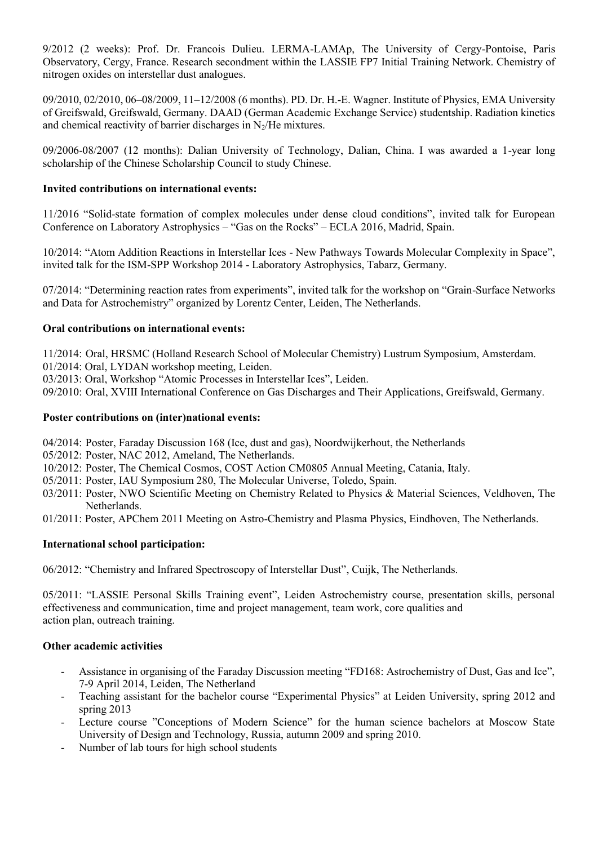9/2012 (2 weeks): Prof. Dr. Francois Dulieu. LERMA-LAMAp, The University of Cergy-Pontoise, Paris Observatory, Cergy, France. Research secondment within the LASSIE FP7 Initial Training Network. Chemistry of nitrogen oxides on interstellar dust analogues.

09/2010, 02/2010, 06–08/2009, 11–12/2008 (6 months). PD. Dr. H.-E. Wagner. Institute of Physics, EMA University of Greifswald, Greifswald, Germany. DAAD (German Academic Exchange Service) studentship. Radiation kinetics and chemical reactivity of barrier discharges in  $N_2$ /He mixtures.

09/2006-08/2007 (12 months): Dalian University of Technology, Dalian, China. I was awarded a 1-year long scholarship of the Chinese Scholarship Council to study Chinese.

# **Invited contributions on international events:**

11/2016 "Solid-state formation of complex molecules under dense cloud conditions", invited talk for European Conference on Laboratory Astrophysics – "Gas on the Rocks" – ECLA 2016, Madrid, Spain.

10/2014: "Atom Addition Reactions in Interstellar Ices - New Pathways Towards Molecular Complexity in Space", invited talk for the ISM-SPP Workshop 2014 - Laboratory Astrophysics, Tabarz, Germany.

07/2014: "Determining reaction rates from experiments", invited talk for the workshop on "Grain-Surface Networks and Data for Astrochemistry" organized by Lorentz Center, Leiden, The Netherlands.

# **Oral contributions on international events:**

11/2014: Oral, HRSMC (Holland Research School of Molecular Chemistry) Lustrum Symposium, Amsterdam.

01/2014: Oral, LYDAN workshop meeting, Leiden.

03/2013: Oral, Workshop "Atomic Processes in Interstellar Ices", Leiden.

09/2010: Oral, XVIII International Conference on Gas Discharges and Their Applications, Greifswald, Germany.

## **Poster contributions on (inter)national events:**

04/2014: Poster, Faraday Discussion 168 (Ice, dust and gas), Noordwijkerhout, the Netherlands

- 05/2012: Poster, NAC 2012, Ameland, The Netherlands.
- 10/2012: Poster, The Chemical Cosmos, COST Action CM0805 Annual Meeting, Catania, Italy.

05/2011: Poster, IAU Symposium 280, The Molecular Universe, Toledo, Spain.

- 03/2011: Poster, NWO Scientific Meeting on Chemistry Related to Physics & Material Sciences, Veldhoven, The Netherlands.
- 01/2011: Poster, APChem 2011 Meeting on Astro-Chemistry and Plasma Physics, Eindhoven, The Netherlands.

# **International school participation:**

06/2012: "Chemistry and Infrared Spectroscopy of Interstellar Dust", Cuijk, The Netherlands.

05/2011: "LASSIE Personal Skills Training event", Leiden Astrochemistry course, presentation skills, personal effectiveness and communication, time and project management, team work, core qualities and action plan, outreach training.

## **Other academic activities**

- Assistance in organising of the Faraday Discussion meeting "FD168: Astrochemistry of Dust, Gas and Ice", 7-9 April 2014, Leiden, The Netherland
- Teaching assistant for the bachelor course "Experimental Physics" at Leiden University, spring 2012 and spring 2013
- Lecture course "Conceptions of Modern Science" for the human science bachelors at Moscow State University of Design and Technology, Russia, autumn 2009 and spring 2010.
- Number of lab tours for high school students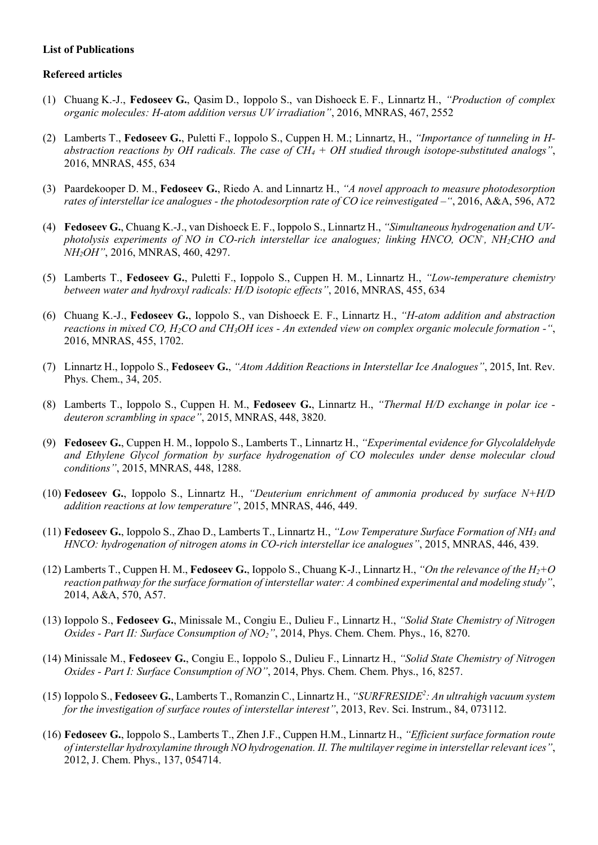### **List of Publications**

## **Refereed articles**

- (1) Chuang K.-J., **Fedoseev G.**, Qasim D., Ioppolo S., van Dishoeck E. F., Linnartz H., *"Production of complex organic molecules: H-atom addition versus UV irradiation"*, 2016, MNRAS, 467, 2552
- (2) Lamberts T., **Fedoseev G.**, Puletti F., Ioppolo S., Cuppen H. M.; Linnartz, H., *"Importance of tunneling in Habstraction reactions by OH radicals. The case of CH<sup>4</sup> + OH studied through isotope-substituted analogs"*, 2016, MNRAS, 455, 634
- (3) Paardekooper D. M., **Fedoseev G.**, Riedo A. and Linnartz H., *"A novel approach to measure photodesorption rates of interstellar ice analogues - the photodesorption rate of CO ice reinvestigated –"*, 2016, A&A, 596, A72
- (4) **Fedoseev G.**, Chuang K.-J., van Dishoeck E. F., Ioppolo S., Linnartz H., *"Simultaneous hydrogenation and UVphotolysis experiments of NO in CO-rich interstellar ice analogues; linking HNCO, OCN- , NH2CHO and NH2OH"*, 2016, MNRAS, 460, 4297.
- (5) Lamberts T., **Fedoseev G.**, Puletti F., Ioppolo S., Cuppen H. M., Linnartz H., *"Low-temperature chemistry between water and hydroxyl radicals: H/D isotopic effects"*, 2016, MNRAS, 455, 634
- (6) Chuang K.-J., **Fedoseev G.**, Ioppolo S., van Dishoeck E. F., Linnartz H., *"H-atom addition and abstraction reactions in mixed CO, H2CO and CH3OH ices - An extended view on complex organic molecule formation -"*, 2016, MNRAS, 455, 1702.
- (7) Linnartz H., Ioppolo S., **Fedoseev G.**, *"Atom Addition Reactions in Interstellar Ice Analogues"*, 2015, Int. Rev. Phys. Chem., 34, 205.
- (8) Lamberts T., Ioppolo S., Cuppen H. M., **Fedoseev G.**, Linnartz H., *"Thermal H/D exchange in polar ice deuteron scrambling in space"*, 2015, MNRAS, 448, 3820.
- (9) **Fedoseev G.**, Cuppen H. M., Ioppolo S., Lamberts T., Linnartz H., *"Experimental evidence for Glycolaldehyde and Ethylene Glycol formation by surface hydrogenation of CO molecules under dense molecular cloud conditions"*, 2015, MNRAS, 448, 1288.
- (10) **Fedoseev G.**, Ioppolo S., Linnartz H., *"Deuterium enrichment of ammonia produced by surface N+H/D addition reactions at low temperature"*, 2015, MNRAS, 446, 449.
- (11) **Fedoseev G.**, Ioppolo S., Zhao D., Lamberts T., Linnartz H., *"Low Temperature Surface Formation of NH<sup>3</sup> and HNCO: hydrogenation of nitrogen atoms in CO-rich interstellar ice analogues"*, 2015, MNRAS, 446, 439.
- (12) Lamberts T., Cuppen H. M., **Fedoseev G.**, Ioppolo S., Chuang K-J., Linnartz H., *"On the relevance of the H2+O reaction pathway for the surface formation of interstellar water: A combined experimental and modeling study"*, 2014, A&A, 570, A57.
- (13) Ioppolo S., **Fedoseev G.**, Minissale M., Congiu E., Dulieu F., Linnartz H., *"Solid State Chemistry of Nitrogen Oxides - Part II: Surface Consumption of NO2"*, 2014, Phys. Chem. Chem. Phys., 16, 8270.
- (14) Minissale M., **Fedoseev G.**, Congiu E., Ioppolo S., Dulieu F., Linnartz H., *"Solid State Chemistry of Nitrogen Oxides - Part I: Surface Consumption of NO"*, 2014, Phys. Chem. Chem. Phys., 16, 8257.
- (15) Ioppolo S., **Fedoseev G.**, Lamberts T., Romanzin C., Linnartz H., *"SURFRESIDE<sup>2</sup> : An ultrahigh vacuum system for the investigation of surface routes of interstellar interest", 2013, Rev. Sci. Instrum., 84, 073112.*
- (16) **Fedoseev G.**, Ioppolo S., Lamberts T., Zhen J.F., Cuppen H.M., Linnartz H., *"Efficient surface formation route of interstellar hydroxylamine through NO hydrogenation. II. The multilayer regime in interstellar relevant ices"*, 2012, J. Chem. Phys., 137, 054714.